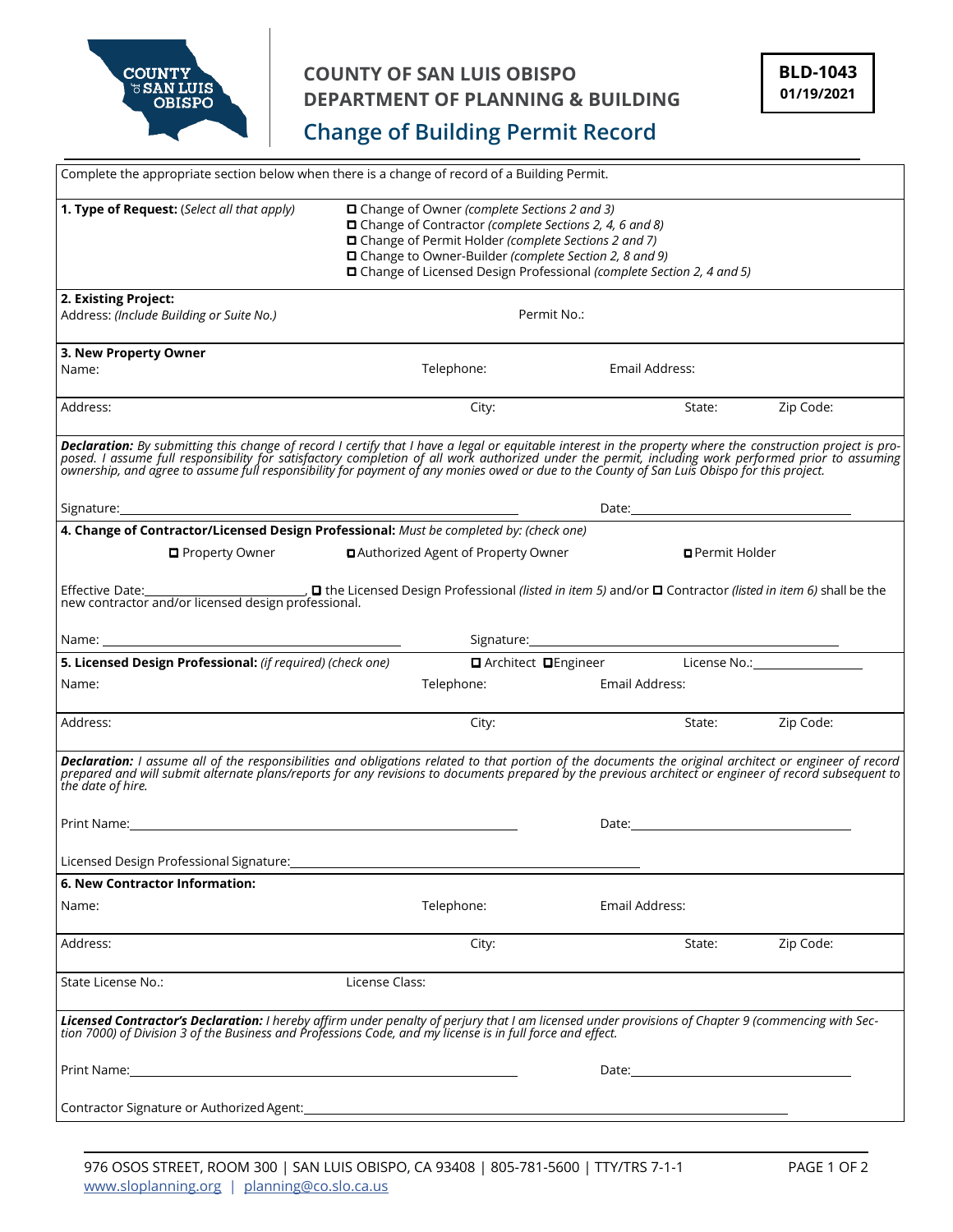

## **COUNTY OF SAN LUIS OBISPO DEPARTMENT OF PLANNING & BUILDING**

## **Change of Building Permit Record**

| Complete the appropriate section below when there is a change of record of a Building Permit.                                                                                                                                                            |                                                                                                                                                                                                                                                                                                         |                                      |             |                |                        |                                                           |
|----------------------------------------------------------------------------------------------------------------------------------------------------------------------------------------------------------------------------------------------------------|---------------------------------------------------------------------------------------------------------------------------------------------------------------------------------------------------------------------------------------------------------------------------------------------------------|--------------------------------------|-------------|----------------|------------------------|-----------------------------------------------------------|
| 1. Type of Request: (Select all that apply)                                                                                                                                                                                                              | □ Change of Owner (complete Sections 2 and 3)<br>□ Change of Contractor (complete Sections 2, 4, 6 and 8)<br>□ Change of Permit Holder (complete Sections 2 and 7)<br>□ Change to Owner-Builder (complete Section 2, 8 and 9)<br>□ Change of Licensed Design Professional (complete Section 2, 4 and 5) |                                      |             |                |                        |                                                           |
| 2. Existing Project:                                                                                                                                                                                                                                     |                                                                                                                                                                                                                                                                                                         |                                      |             |                |                        |                                                           |
| Address: (Include Building or Suite No.)                                                                                                                                                                                                                 |                                                                                                                                                                                                                                                                                                         |                                      | Permit No.: |                |                        |                                                           |
| 3. New Property Owner                                                                                                                                                                                                                                    |                                                                                                                                                                                                                                                                                                         |                                      |             |                |                        |                                                           |
| Name:                                                                                                                                                                                                                                                    |                                                                                                                                                                                                                                                                                                         | Telephone:                           |             | Email Address: |                        |                                                           |
| Address:                                                                                                                                                                                                                                                 |                                                                                                                                                                                                                                                                                                         | City:                                |             |                | State:                 | Zip Code:                                                 |
| <b>Declaration:</b> By submitting this change of record I certify that I have a legal or equitable interest in the property where the construction project is pro-<br>posed. I assume full responsibility for satisfactory completion                    |                                                                                                                                                                                                                                                                                                         |                                      |             |                |                        |                                                           |
| Signature: the contract of the contract of the contract of the contract of the contract of the contract of the contract of the contract of the contract of the contract of the contract of the contract of the contract of the                           |                                                                                                                                                                                                                                                                                                         |                                      |             |                |                        |                                                           |
| 4. Change of Contractor/Licensed Design Professional: Must be completed by: (check one)                                                                                                                                                                  |                                                                                                                                                                                                                                                                                                         |                                      |             |                |                        |                                                           |
| <b>Q</b> Property Owner                                                                                                                                                                                                                                  |                                                                                                                                                                                                                                                                                                         | □ Authorized Agent of Property Owner |             |                | <b>□</b> Permit Holder |                                                           |
|                                                                                                                                                                                                                                                          |                                                                                                                                                                                                                                                                                                         |                                      |             |                |                        |                                                           |
|                                                                                                                                                                                                                                                          |                                                                                                                                                                                                                                                                                                         |                                      |             |                |                        |                                                           |
| 5. Licensed Design Professional: (if required) (check one)                                                                                                                                                                                               |                                                                                                                                                                                                                                                                                                         |                                      |             |                |                        | D Architect DEngineer<br>License No.: <u>Denamination</u> |
| Name:                                                                                                                                                                                                                                                    |                                                                                                                                                                                                                                                                                                         | Telephone:                           |             | Email Address: |                        |                                                           |
| Address:                                                                                                                                                                                                                                                 |                                                                                                                                                                                                                                                                                                         | City:                                |             |                | State:                 | Zip Code:                                                 |
| <b>Declaration:</b> I assume all of the responsibilities and obligations related to that portion of the documents the original architect or engineer of record prepared and will submit alternate plans/reports for any revisions t<br>the date of hire. |                                                                                                                                                                                                                                                                                                         |                                      |             |                |                        |                                                           |
|                                                                                                                                                                                                                                                          |                                                                                                                                                                                                                                                                                                         |                                      |             |                |                        |                                                           |
| Licensed Design Professional Signature:                                                                                                                                                                                                                  |                                                                                                                                                                                                                                                                                                         |                                      |             |                |                        |                                                           |
| 6. New Contractor Information:                                                                                                                                                                                                                           |                                                                                                                                                                                                                                                                                                         |                                      |             |                |                        |                                                           |
| Name:                                                                                                                                                                                                                                                    |                                                                                                                                                                                                                                                                                                         | Telephone:                           |             | Email Address: |                        |                                                           |
| Address:                                                                                                                                                                                                                                                 |                                                                                                                                                                                                                                                                                                         | City:                                |             |                | State:                 | Zip Code:                                                 |
| State License No.:                                                                                                                                                                                                                                       | License Class:                                                                                                                                                                                                                                                                                          |                                      |             |                |                        |                                                           |
| Licensed Contractor's Declaration: I hereby affirm under penalty of perjury that I am licensed under provisions of Chapter 9 (commencing with Sec-<br>tion 7000) of Division 3 of the Business and Professions Code, and my licen                        |                                                                                                                                                                                                                                                                                                         |                                      |             |                |                        |                                                           |
| Print Name: will be a series of the contract of the contract of the contract of the contract of the contract of the contract of the contract of the contract of the contract of the contract of the contract of the contract o                           |                                                                                                                                                                                                                                                                                                         |                                      |             |                |                        |                                                           |
|                                                                                                                                                                                                                                                          |                                                                                                                                                                                                                                                                                                         |                                      |             |                |                        |                                                           |
|                                                                                                                                                                                                                                                          |                                                                                                                                                                                                                                                                                                         |                                      |             |                |                        |                                                           |